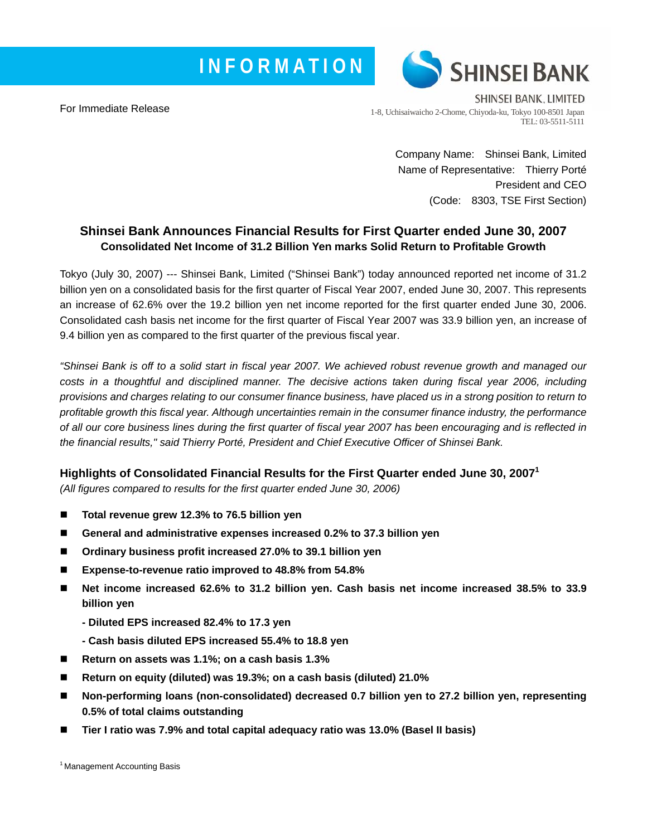# **INFORMATION**



For Immediate Release

SHINSEI BANK, LIMITED 1-8, Uchisaiwaicho 2-Chome, Chiyoda-ku, Tokyo 100-8501 Japan TEL: 03-5511-5111

> Company Name: Shinsei Bank, Limited Name of Representative: Thierry Porté President and CEO (Code: 8303, TSE First Section)

## **Shinsei Bank Announces Financial Results for First Quarter ended June 30, 2007 Consolidated Net Income of 31.2 Billion Yen marks Solid Return to Profitable Growth**

Tokyo (July 30, 2007) --- Shinsei Bank, Limited ("Shinsei Bank") today announced reported net income of 31.2 billion yen on a consolidated basis for the first quarter of Fiscal Year 2007, ended June 30, 2007. This represents an increase of 62.6% over the 19.2 billion yen net income reported for the first quarter ended June 30, 2006. Consolidated cash basis net income for the first quarter of Fiscal Year 2007 was 33.9 billion yen, an increase of 9.4 billion yen as compared to the first quarter of the previous fiscal year.

*"Shinsei Bank is off to a solid start in fiscal year 2007. We achieved robust revenue growth and managed our costs in a thoughtful and disciplined manner. The decisive actions taken during fiscal year 2006, including provisions and charges relating to our consumer finance business, have placed us in a strong position to return to profitable growth this fiscal year. Although uncertainties remain in the consumer finance industry, the performance of all our core business lines during the first quarter of fiscal year 2007 has been encouraging and is reflected in the financial results," said Thierry Porté, President and Chief Executive Officer of Shinsei Bank.* 

## **Highlights of Consolidated Financial Results for the First Quarter ended June 30, 20071**

*(All figures compared to results for the first quarter ended June 30, 2006)* 

- Total revenue grew 12.3% to 76.5 billion yen
- General and administrative expenses increased 0.2% to 37.3 billion yen
- Ordinary business profit increased 27.0% to 39.1 billion yen
- **Expense-to-revenue ratio improved to 48.8% from 54.8%**
- Net income increased 62.6% to 31.2 billion yen. Cash basis net income increased 38.5% to 33.9 **billion yen** 
	- **Diluted EPS increased 82.4% to 17.3 yen**
	- **Cash basis diluted EPS increased 55.4% to 18.8 yen**
- Return on assets was 1.1%; on a cash basis 1.3%
- **Return on equity (diluted) was 19.3%; on a cash basis (diluted) 21.0%**
- Non-performing loans (non-consolidated) decreased 0.7 billion yen to 27.2 billion yen, representing **0.5% of total claims outstanding**
- **Tier I ratio was 7.9% and total capital adequacy ratio was 13.0% (Basel II basis)**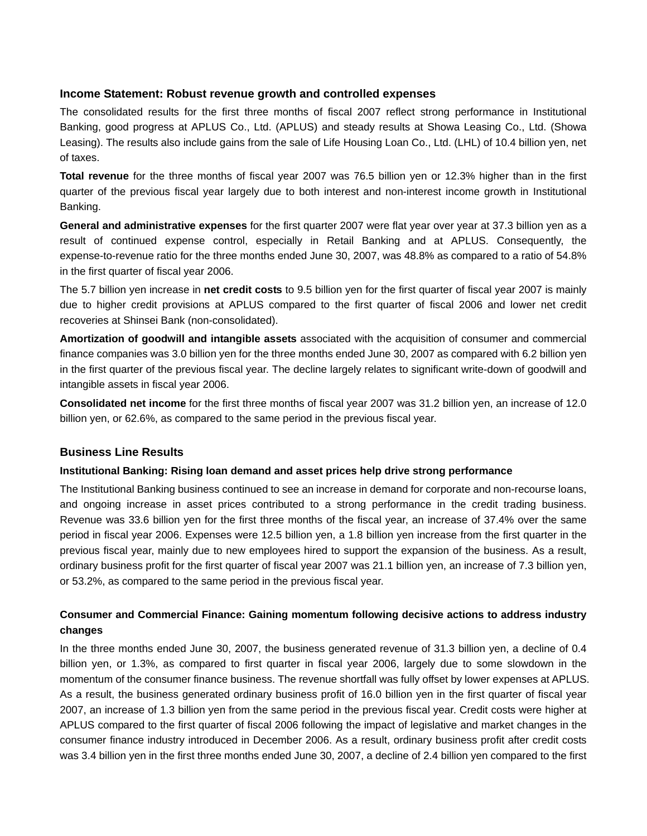### **Income Statement: Robust revenue growth and controlled expenses**

The consolidated results for the first three months of fiscal 2007 reflect strong performance in Institutional Banking, good progress at APLUS Co., Ltd. (APLUS) and steady results at Showa Leasing Co., Ltd. (Showa Leasing). The results also include gains from the sale of Life Housing Loan Co., Ltd. (LHL) of 10.4 billion yen, net of taxes.

**Total revenue** for the three months of fiscal year 2007 was 76.5 billion yen or 12.3% higher than in the first quarter of the previous fiscal year largely due to both interest and non-interest income growth in Institutional Banking.

**General and administrative expenses** for the first quarter 2007 were flat year over year at 37.3 billion yen as a result of continued expense control, especially in Retail Banking and at APLUS. Consequently, the expense-to-revenue ratio for the three months ended June 30, 2007, was 48.8% as compared to a ratio of 54.8% in the first quarter of fiscal year 2006.

The 5.7 billion yen increase in **net credit costs** to 9.5 billion yen for the first quarter of fiscal year 2007 is mainly due to higher credit provisions at APLUS compared to the first quarter of fiscal 2006 and lower net credit recoveries at Shinsei Bank (non-consolidated).

**Amortization of goodwill and intangible assets** associated with the acquisition of consumer and commercial finance companies was 3.0 billion yen for the three months ended June 30, 2007 as compared with 6.2 billion yen in the first quarter of the previous fiscal year. The decline largely relates to significant write-down of goodwill and intangible assets in fiscal year 2006.

**Consolidated net income** for the first three months of fiscal year 2007 was 31.2 billion yen, an increase of 12.0 billion yen, or 62.6%, as compared to the same period in the previous fiscal year.

#### **Business Line Results**

#### **Institutional Banking: Rising loan demand and asset prices help drive strong performance**

The Institutional Banking business continued to see an increase in demand for corporate and non-recourse loans, and ongoing increase in asset prices contributed to a strong performance in the credit trading business. Revenue was 33.6 billion yen for the first three months of the fiscal year, an increase of 37.4% over the same period in fiscal year 2006. Expenses were 12.5 billion yen, a 1.8 billion yen increase from the first quarter in the previous fiscal year, mainly due to new employees hired to support the expansion of the business. As a result, ordinary business profit for the first quarter of fiscal year 2007 was 21.1 billion yen, an increase of 7.3 billion yen, or 53.2%, as compared to the same period in the previous fiscal year.

## **Consumer and Commercial Finance: Gaining momentum following decisive actions to address industry changes**

In the three months ended June 30, 2007, the business generated revenue of 31.3 billion yen, a decline of 0.4 billion yen, or 1.3%, as compared to first quarter in fiscal year 2006, largely due to some slowdown in the momentum of the consumer finance business. The revenue shortfall was fully offset by lower expenses at APLUS. As a result, the business generated ordinary business profit of 16.0 billion yen in the first quarter of fiscal year 2007, an increase of 1.3 billion yen from the same period in the previous fiscal year. Credit costs were higher at APLUS compared to the first quarter of fiscal 2006 following the impact of legislative and market changes in the consumer finance industry introduced in December 2006. As a result, ordinary business profit after credit costs was 3.4 billion yen in the first three months ended June 30, 2007, a decline of 2.4 billion yen compared to the first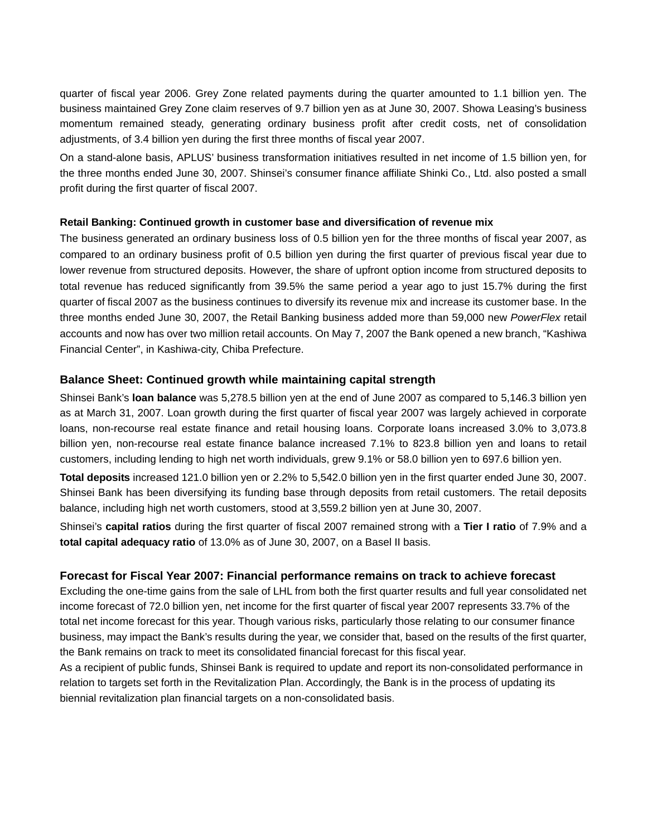quarter of fiscal year 2006. Grey Zone related payments during the quarter amounted to 1.1 billion yen. The business maintained Grey Zone claim reserves of 9.7 billion yen as at June 30, 2007. Showa Leasing's business momentum remained steady, generating ordinary business profit after credit costs, net of consolidation adjustments, of 3.4 billion yen during the first three months of fiscal year 2007.

On a stand-alone basis, APLUS' business transformation initiatives resulted in net income of 1.5 billion yen, for the three months ended June 30, 2007. Shinsei's consumer finance affiliate Shinki Co., Ltd. also posted a small profit during the first quarter of fiscal 2007.

#### **Retail Banking: Continued growth in customer base and diversification of revenue mix**

The business generated an ordinary business loss of 0.5 billion yen for the three months of fiscal year 2007, as compared to an ordinary business profit of 0.5 billion yen during the first quarter of previous fiscal year due to lower revenue from structured deposits. However, the share of upfront option income from structured deposits to total revenue has reduced significantly from 39.5% the same period a year ago to just 15.7% during the first quarter of fiscal 2007 as the business continues to diversify its revenue mix and increase its customer base. In the three months ended June 30, 2007, the Retail Banking business added more than 59,000 new *PowerFlex* retail accounts and now has over two million retail accounts. On May 7, 2007 the Bank opened a new branch, "Kashiwa Financial Center", in Kashiwa-city, Chiba Prefecture.

#### **Balance Sheet: Continued growth while maintaining capital strength**

Shinsei Bank's **loan balance** was 5,278.5 billion yen at the end of June 2007 as compared to 5,146.3 billion yen as at March 31, 2007. Loan growth during the first quarter of fiscal year 2007 was largely achieved in corporate loans, non-recourse real estate finance and retail housing loans. Corporate loans increased 3.0% to 3,073.8 billion yen, non-recourse real estate finance balance increased 7.1% to 823.8 billion yen and loans to retail customers, including lending to high net worth individuals, grew 9.1% or 58.0 billion yen to 697.6 billion yen.

**Total deposits** increased 121.0 billion yen or 2.2% to 5,542.0 billion yen in the first quarter ended June 30, 2007. Shinsei Bank has been diversifying its funding base through deposits from retail customers. The retail deposits balance, including high net worth customers, stood at 3,559.2 billion yen at June 30, 2007.

Shinsei's **capital ratios** during the first quarter of fiscal 2007 remained strong with a **Tier I ratio** of 7.9% and a **total capital adequacy ratio** of 13.0% as of June 30, 2007, on a Basel II basis.

#### **Forecast for Fiscal Year 2007: Financial performance remains on track to achieve forecast**

Excluding the one-time gains from the sale of LHL from both the first quarter results and full year consolidated net income forecast of 72.0 billion yen, net income for the first quarter of fiscal year 2007 represents 33.7% of the total net income forecast for this year. Though various risks, particularly those relating to our consumer finance business, may impact the Bank's results during the year, we consider that, based on the results of the first quarter, the Bank remains on track to meet its consolidated financial forecast for this fiscal year.

As a recipient of public funds, Shinsei Bank is required to update and report its non-consolidated performance in relation to targets set forth in the Revitalization Plan. Accordingly, the Bank is in the process of updating its biennial revitalization plan financial targets on a non-consolidated basis.